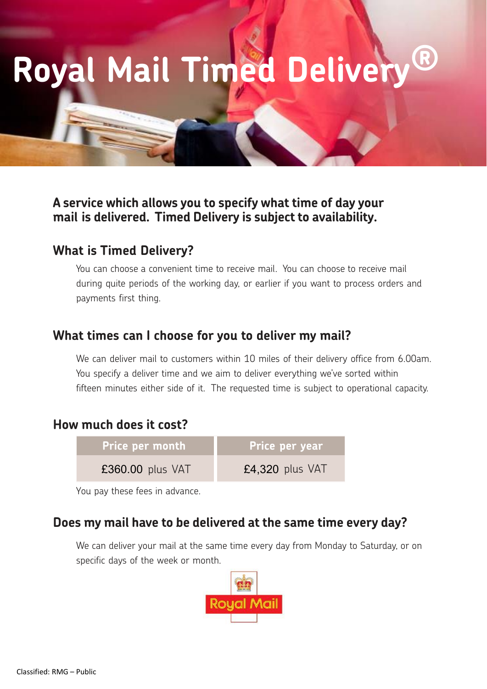# **Royal Mail Timed Delivery**

#### **A service which allows you to specify what time of day your mail is delivered. Timed Delivery is subjectto availability.**

# **What is Timed Delivery?**

You can choose a convenient time to receive mail. You can choose to receive mail during quite periods of the working day, or earlier if you want to process orders and payments first thing.

# **What times can I choose for you to deliver my mail?**

We can deliver mail to customers within 10 miles of their delivery office from 6.00am. You specify a deliver time and we aim to deliver everything we've sorted within fifteen minutes either side of it. The requested time is subject to operational capacity.

## **How much does it cost?**

| Price per month  | <b>Price per year</b> |
|------------------|-----------------------|
| £360.00 plus VAT | £4,320 plus VAT       |

You pay these fees in advance.

#### **Does my mail have to be delivered at the same time every day?**

We can deliver your mail at the same time every day from Monday to Saturday, or on specific days of the week or month.

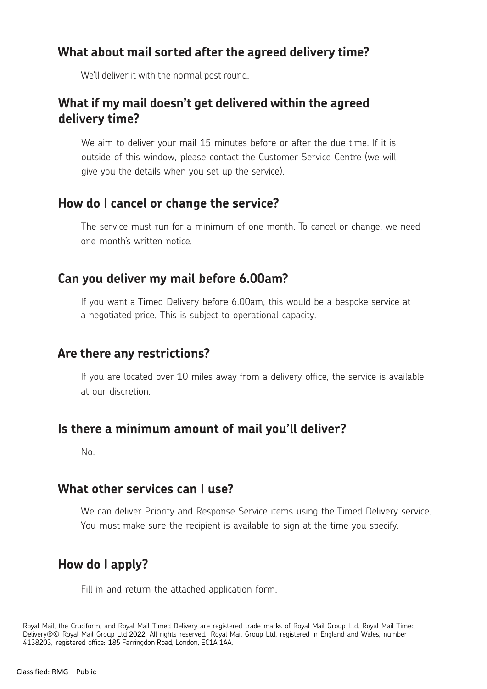## **What about mail sorted after the agreed delivery time?**

We'll deliver it with the normal post round.

## **What if my mail doesn't get delivered within the agreed delivery time?**

We aim to deliver your mail 15 minutes before or after the due time. If it is outside of this window, please contact the Customer Service Centre (we will give you the details when you set up the service).

#### **How do I cancel or change the service?**

The service must run for a minimum of one month. To cancel or change, we need one month's written notice.

#### **Can you deliver my mail before 6.00am?**

If you want a Timed Delivery before 6.00am, this would be a bespoke service at a negotiated price. This is subject to operational capacity.

## **Are there any restrictions?**

If you are located over 10 miles away from a delivery office, the service is available at our discretion.

## **Is there a minimum amount of mail you'll deliver?**

No.

## **What other services can I use?**

We can deliver Priority and Response Service items using the Timed Delivery service. You must make sure the recipient is available to sign at the time you specify.

# **How do I apply?**

Fill in and return the attached application form.

Royal Mail, the Cruciform, and Royal Mail Timed Delivery are registered trade marks of Royal Mail Group Ltd. Royal Mail Timed Delivery®© Royal Mail Group Ltd 2022. All rights reserved. Royal Mail Group Ltd, registered in England and Wales, number 4138203, registered office: 185 Farringdon Road, London, EC1A 1AA.